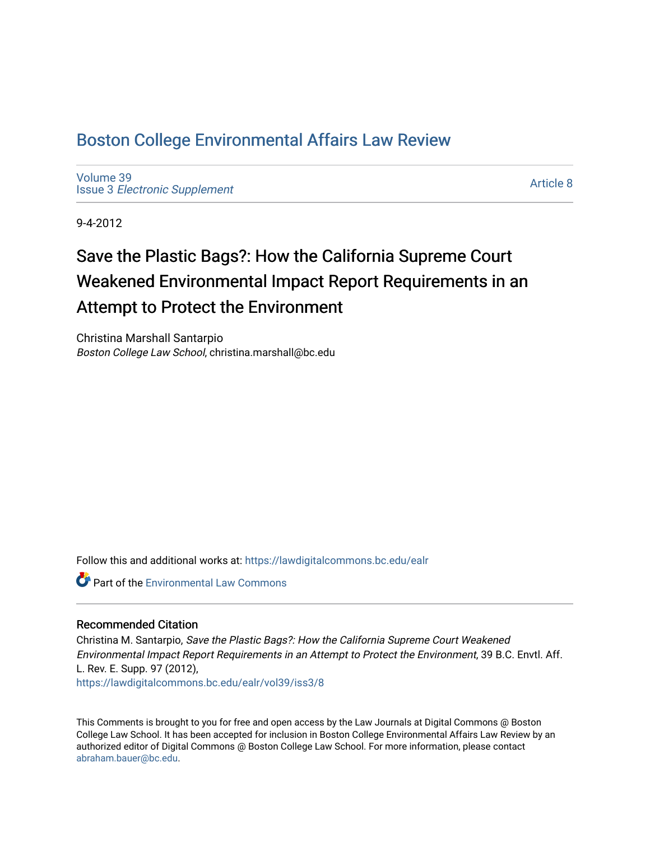## [Boston College Environmental Affairs Law Review](https://lawdigitalcommons.bc.edu/ealr)

[Volume 39](https://lawdigitalcommons.bc.edu/ealr/vol39) Issue 3 [Electronic Supplement](https://lawdigitalcommons.bc.edu/ealr/vol39/iss3) 

[Article 8](https://lawdigitalcommons.bc.edu/ealr/vol39/iss3/8) 

9-4-2012

# Save the Plastic Bags?: How the California Supreme Court Weakened Environmental Impact Report Requirements in an Attempt to Protect the Environment

Christina Marshall Santarpio Boston College Law School, christina.marshall@bc.edu

Follow this and additional works at: [https://lawdigitalcommons.bc.edu/ealr](https://lawdigitalcommons.bc.edu/ealr?utm_source=lawdigitalcommons.bc.edu%2Fealr%2Fvol39%2Fiss3%2F8&utm_medium=PDF&utm_campaign=PDFCoverPages) 

**Part of the [Environmental Law Commons](http://network.bepress.com/hgg/discipline/599?utm_source=lawdigitalcommons.bc.edu%2Fealr%2Fvol39%2Fiss3%2F8&utm_medium=PDF&utm_campaign=PDFCoverPages)** 

### Recommended Citation

Christina M. Santarpio, Save the Plastic Bags?: How the California Supreme Court Weakened Environmental Impact Report Requirements in an Attempt to Protect the Environment, 39 B.C. Envtl. Aff. L. Rev. E. Supp. 97 (2012), [https://lawdigitalcommons.bc.edu/ealr/vol39/iss3/8](https://lawdigitalcommons.bc.edu/ealr/vol39/iss3/8?utm_source=lawdigitalcommons.bc.edu%2Fealr%2Fvol39%2Fiss3%2F8&utm_medium=PDF&utm_campaign=PDFCoverPages) 

This Comments is brought to you for free and open access by the Law Journals at Digital Commons @ Boston College Law School. It has been accepted for inclusion in Boston College Environmental Affairs Law Review by an authorized editor of Digital Commons @ Boston College Law School. For more information, please contact [abraham.bauer@bc.edu.](mailto:abraham.bauer@bc.edu)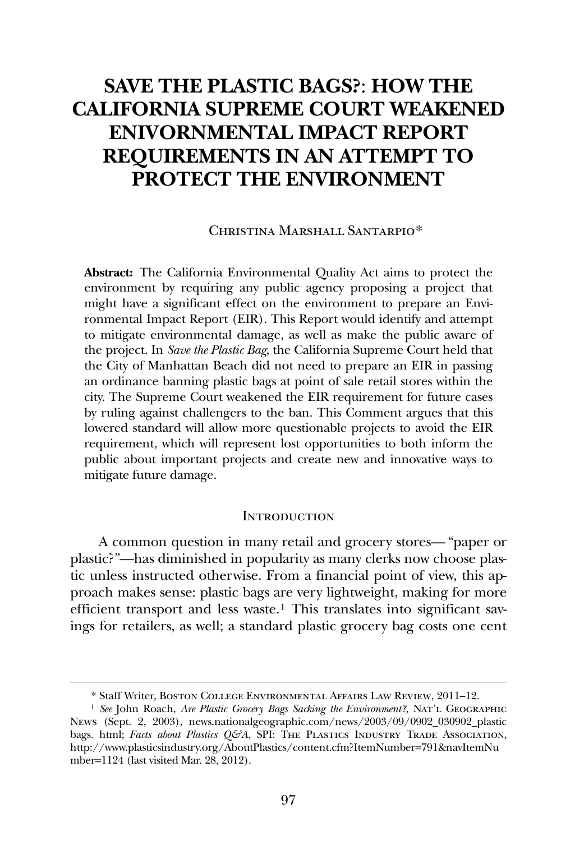## **SAVE THE PLASTIC BAGS?**: **HOW THE CALIFORNIA SUPREME COURT WEAKENED ENIVORNMENTAL IMPACT REPORT REQUIREMENTS IN AN ATTEMPT TO PROTECT THE ENVIRONMENT**

#### Christina Marshall S[an](#page-1-0)tarpio\*

**Abstract:** The California Environmental Quality Act aims to protect the environment by requiring any public agency proposing a project that might have a significant effect on the environment to prepare an Environmental Impact Report (EIR). This Report would identify and attempt to mitigate environmental damage, as well as make the public aware of the project. In *Save the Plastic Bag*, the California Supreme Court held that the City of Manhattan Beach did not need to prepare an EIR in passing an ordinance banning plastic bags at point of sale retail stores within the city. The Supreme Court weakened the EIR requirement for future cases by ruling against challengers to the ban. This Comment argues that this lowered standard will allow more questionable projects to avoid the EIR requirement, which will represent lost opportunities to both inform the public about important projects and create new and innovative ways to mitigate future damage.

#### **INTRODUCTION**

 A common question in many retail and grocery stores— "paper or plastic?"—has diminished in popularity as many clerks now choose plastic unless instructed otherwise. From a financial point of view, this approach makes sense: plastic bags are very lightweight, making for more efficient transport and less waste.[1](#page-1-1) This translates into significant savings for retailers, as well; a standard plastic grocery bag costs one cent

-

<sup>\*</sup> Staff Writer, Boston College Environmental Affairs Law Review, 2011–12.

<span id="page-1-1"></span><span id="page-1-0"></span><sup>1</sup> *See* John Roach, *Are Plastic Grocery Bags Sacking the Environment?*, Nat'l Geographic News (Sept. 2, 2003), news.nationalgeographic.com/news/2003/09/0902\_030902\_plastic bags. html; *Facts about Plastics Q&A*, SPI: THE PLASTICS INDUSTRY TRADE ASSOCIATION, http://www.plasticsindustry.org/AboutPlastics/content.cfm?ItemNumber=791&navItemNu mber=1124 (last visited Mar. 28, 2012).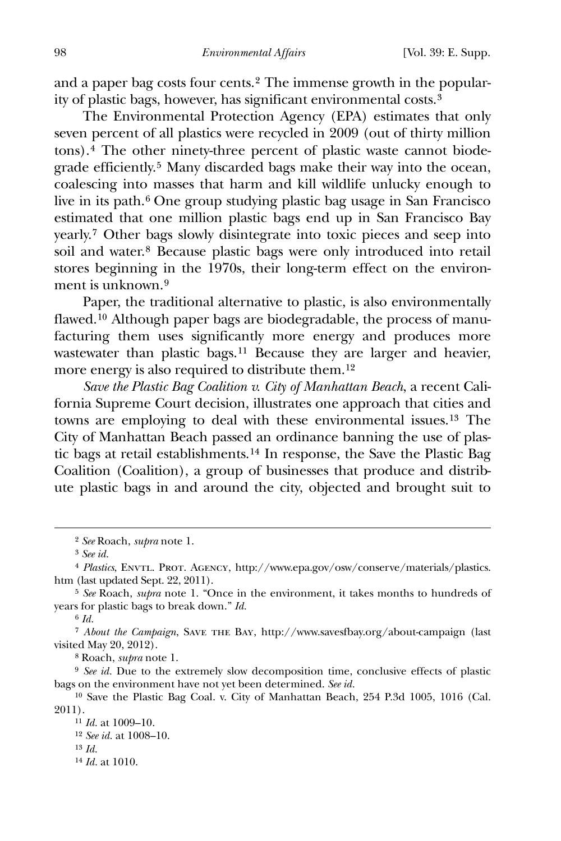and a paper bag costs four cents.[2](#page-2-0) The immense growth in the popularity of plastic bags, however, has significant environmental costs.[3](#page-2-1)

 The Environmental Protection Agency (EPA) estimates that only seven percent of all plastics were recycled in 2009 (out of thirty million tons).[4](#page-2-2) The other ninety-three percent of plastic waste cannot biodegrade efficiently.[5](#page-2-3) Many discarded bags make their way into the ocean, coalescing into masses that harm and kill wildlife unlucky enough to live in its path.[6](#page-2-4) One group studying plastic bag usage in San Francisco estimated that one million plastic bags end up in San Francisco Bay yearly.[7](#page-2-5) Other bags slowly disintegrate into toxic pieces and seep into soil and water.[8](#page-2-6) Because plastic bags were only introduced into retail stores beginning in the 1970s, their long-term effect on the environ-ment is unknown.<sup>[9](#page-2-7)</sup>

 Paper, the traditional alternative to plastic, is also environmentally flawed.[10](#page-2-8) Although paper bags are biodegradable, the process of manufacturing them uses significantly more energy and produces more wastewater than plastic bags.<sup>[11](#page-2-9)</sup> Because they are larger and heavier, more energy is also required to distribute them.[12](#page-2-10)

*Save the Plastic Bag Coalition v. City of Manhattan Beach*, a recent California Supreme Court decision, illustrates one approach that cities and towns are employing to deal with these environmental issues.[13](#page-2-11) The City of Manhattan Beach passed an ordinance banning the use of plastic bags at retail establishments.[14](#page-2-12) In response, the Save the Plastic Bag Coalition (Coalition), a group of businesses that produce and distribute plastic bags in and around the city, objected and brought suit to

<span id="page-2-0"></span> $\overline{a}$ 

6 *Id.*

<span id="page-2-5"></span><span id="page-2-4"></span>7 *About the Campaign*, Save the Bay, http://www.savesfbay.org/about-campaign (last visited May 20, 2012).

8 Roach, *supra* note 1.

<span id="page-2-7"></span><span id="page-2-6"></span>9 *See id.* Due to the extremely slow decomposition time, conclusive effects of plastic bags on the environment have not yet been determined. *See id.*

<span id="page-2-11"></span><span id="page-2-10"></span><span id="page-2-9"></span><span id="page-2-8"></span>10 Save the Plastic Bag Coal. v. City of Manhattan Beach, 254 P.3d 1005, 1016 (Cal. 2011).

11 *Id.* at 1009–10. 12 *See id.* at 1008–10. 13 *Id.*

<span id="page-2-12"></span>14 *Id.* at 1010.

<sup>2</sup> *See* Roach, *supra* note 1.

<sup>3</sup> *See id.*

<span id="page-2-2"></span><span id="page-2-1"></span><sup>4</sup> *Plastics*, Envtl. Prot. Agency, http://www.epa.gov/osw/conserve/materials/plastics. htm (last updated Sept. 22, 2011).

<span id="page-2-3"></span><sup>5</sup> *See* Roach, *supra* note 1. "Once in the environment, it takes months to hundreds of years for plastic bags to break down." *Id.*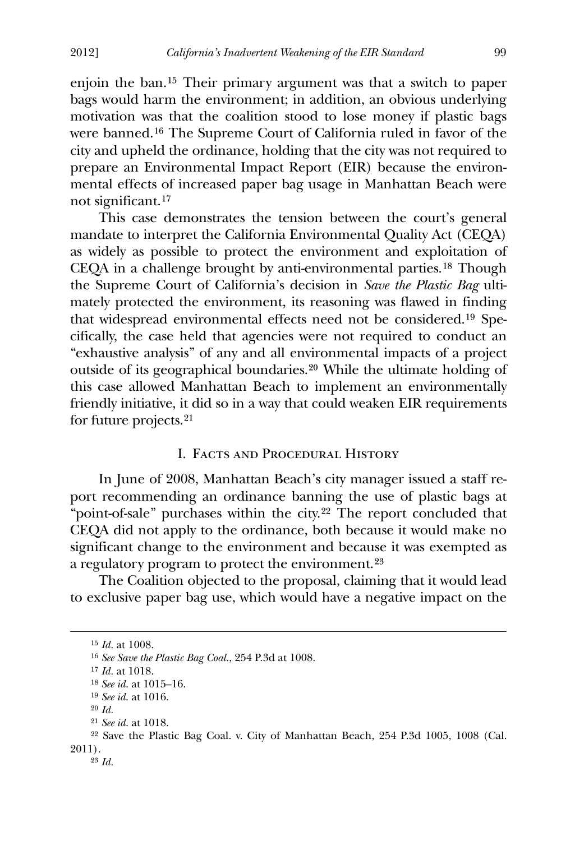enjoin the ban.[15](#page-3-0) Their primary argument was that a switch to paper bags would harm the environment; in addition, an obvious underlying motivation was that the coalition stood to lose money if plastic bags were banned.[16](#page-3-1) The Supreme Court of California ruled in favor of the city and upheld the ordinance, holding that the city was not required to prepare an Environmental Impact Report (EIR) because the environmental effects of increased paper bag usage in Manhattan Beach were not significant.[17](#page-3-2)

 This case demonstrates the tension between the court's general mandate to interpret the California Environmental Quality Act (CEQA) as widely as possible to protect the environment and exploitation of CEQA in a challenge brought by anti-environmental parties.[18](#page-3-3) Though the Supreme Court of California's decision in *Save the Plastic Bag* ultimately protected the environment, its reasoning was flawed in finding that widespread environmental effects need not be considered.[19](#page-3-4) Specifically, the case held that agencies were not required to conduct an "exhaustive analysis" of any and all environmental impacts of a project outside of its geographical boundaries.[20](#page-3-5) While the ultimate holding of this case allowed Manhattan Beach to implement an environmentally friendly initiative, it did so in a way that could weaken EIR requirements for future projects.[21](#page-3-6)

#### I. Facts and Procedural History

 In June of 2008, Manhattan Beach's city manager issued a staff report recommending an ordinance banning the use of plastic bags at "point-of-sale" purchases within the city.[22](#page-3-7) The report concluded that CEQA did not apply to the ordinance, both because it would make no significant change to the environment and because it was exempted as a regulatory program to protect the environment.[23](#page-3-8)

 The Coalition objected to the proposal, claiming that it would lead to exclusive paper bag use, which would have a negative impact on the

20 *Id.*

<span id="page-3-2"></span><span id="page-3-1"></span><span id="page-3-0"></span>-

<sup>15</sup> *Id.* at 1008.

<sup>16</sup> *See Save the Plastic Bag Coal.*, 254 P.3d at 1008.

<sup>17</sup> *Id.* at 1018.

<sup>18</sup> *See id.* at 1015–16.

<sup>19</sup> *See id.* at 1016.

<sup>21</sup> *See id.* at 1018.

<span id="page-3-8"></span><span id="page-3-7"></span><span id="page-3-6"></span><span id="page-3-5"></span><span id="page-3-4"></span><span id="page-3-3"></span><sup>22</sup> Save the Plastic Bag Coal. v. City of Manhattan Beach, 254 P.3d 1005, 1008 (Cal. 2011).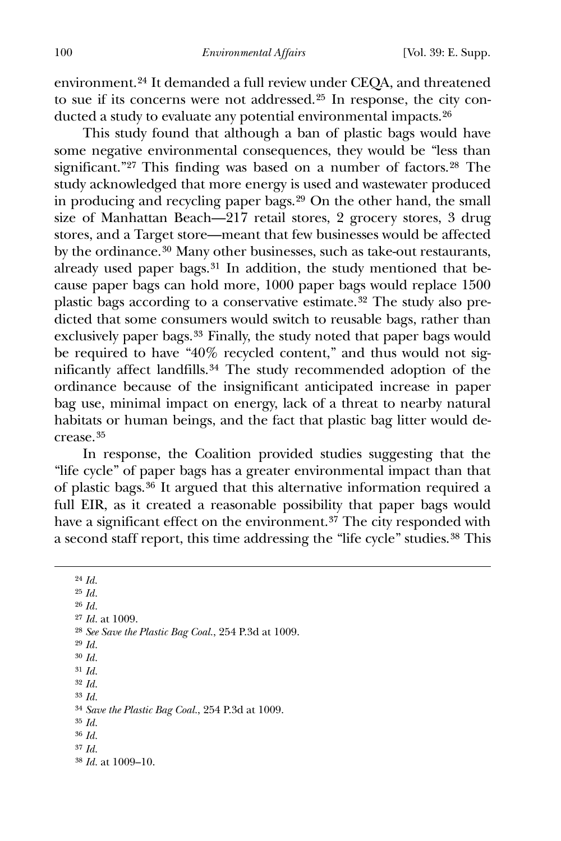environment.[24](#page-4-0) It demanded a full review under CEQA, and threatened to sue if its concerns were not addressed.[25](#page-4-1) In response, the city conducted a study to evaluate any potential environmental impacts.[26](#page-4-2)

 This study found that although a ban of plastic bags would have some negative environmental consequences, they would be "less than significant."<sup>[27](#page-4-3)</sup> This finding was based on a number of factors.<sup>[28](#page-4-4)</sup> The study acknowledged that more energy is used and wastewater produced in producing and recycling paper bags.[29](#page-4-5) On the other hand, the small size of Manhattan Beach—217 retail stores, 2 grocery stores, 3 drug stores, and a Target store—meant that few businesses would be affected by the ordinance.[30](#page-4-6) Many other businesses, such as take-out restaurants, already used paper bags.[31](#page-4-7) In addition, the study mentioned that because paper bags can hold more, 1000 paper bags would replace 1500 plastic bags according to a conservative estimate.[32](#page-4-8) The study also predicted that some consumers would switch to reusable bags, rather than exclusively paper bags.[33](#page-4-9) Finally, the study noted that paper bags would be required to have "40% recycled content," and thus would not significantly affect landfills.[34](#page-4-10) The study recommended adoption of the ordinance because of the insignificant anticipated increase in paper bag use, minimal impact on energy, lack of a threat to nearby natural habitats or human beings, and the fact that plastic bag litter would decrease.[35](#page-4-11)

 In response, the Coalition provided studies suggesting that the "life cycle" of paper bags has a greater environmental impact than that of plastic bags.[36](#page-4-12) It argued that this alternative information required a full EIR, as it created a reasonable possibility that paper bags would have a significant effect on the environment.<sup>[37](#page-4-13)</sup> The city responded with a second staff report, this time addressing the "life cycle" studies.[38](#page-4-14) This

<span id="page-4-14"></span><span id="page-4-13"></span><span id="page-4-12"></span><span id="page-4-11"></span><span id="page-4-10"></span><span id="page-4-9"></span><span id="page-4-8"></span><span id="page-4-7"></span><span id="page-4-6"></span><span id="page-4-5"></span><span id="page-4-4"></span><span id="page-4-3"></span><span id="page-4-2"></span><span id="page-4-1"></span><span id="page-4-0"></span>24 *Id.* 25 *Id.* 26 *Id.* 27 *Id.* at 1009. 28 *See Save the Plastic Bag Coal.*, 254 P.3d at 1009. 29 *Id.* 30 *Id.* 31 *Id.* 32 *Id.* 33 *Id.* 34 *Save the Plastic Bag Coal.*, 254 P.3d at 1009. 35 *Id.* 36 *Id.* 37 *Id.* 38 *Id.* at 1009–10.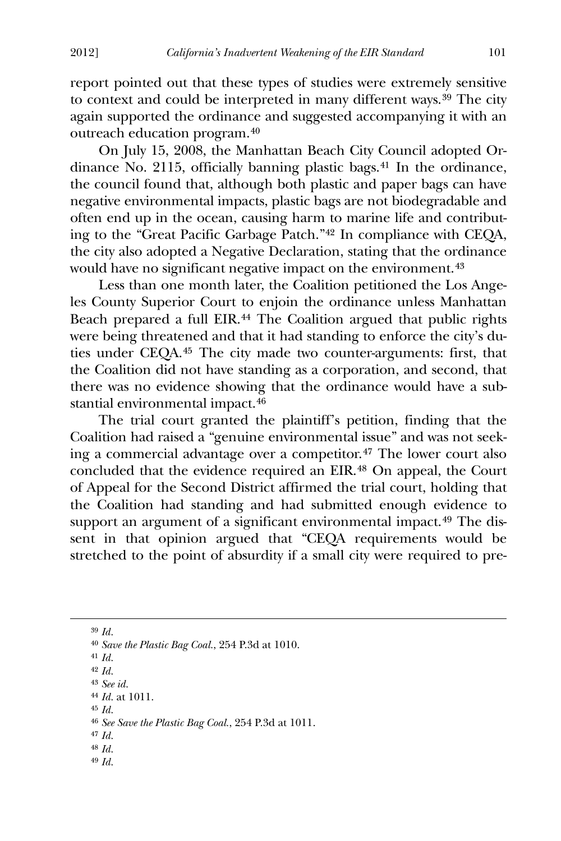report pointed out that these types of studies were extremely sensitive to context and could be interpreted in many different ways.<sup>[39](#page-5-0)</sup> The city again supported the ordinance and suggested accompanying it with an outreach education program.[40](#page-5-1)

 On July 15, 2008, the Manhattan Beach City Council adopted Ordinance No. 2115, officially banning plastic bags.[41](#page-5-2) In the ordinance, the council found that, although both plastic and paper bags can have negative environmental impacts, plastic bags are not biodegradable and often end up in the ocean, causing harm to marine life and contributing to the "Great Pacific Garbage Patch."[42](#page-5-3) In compliance with CEQA, the city also adopted a Negative Declaration, stating that the ordinance would have no significant negative impact on the environment.<sup>[43](#page-5-4)</sup>

 Less than one month later, the Coalition petitioned the Los Angeles County Superior Court to enjoin the ordinance unless Manhattan Beach prepared a full EIR.<sup>[44](#page-5-5)</sup> The Coalition argued that public rights were being threatened and that it had standing to enforce the city's duties under CEQA.[45](#page-5-6) The city made two counter-arguments: first, that the Coalition did not have standing as a corporation, and second, that there was no evidence showing that the ordinance would have a substantial environmental impact.[46](#page-5-7)

 The trial court granted the plaintiff's petition, finding that the Coalition had raised a "genuine environmental issue" and was not seeking a commercial advantage over a competitor.[47](#page-5-8) The lower court also concluded that the evidence required an EIR.[48](#page-5-9) On appeal, the Court of Appeal for the Second District affirmed the trial court, holding that the Coalition had standing and had submitted enough evidence to support an argument of a significant environmental impact.<sup>[49](#page-5-10)</sup> The dissent in that opinion argued that "CEQA requirements would be stretched to the point of absurdity if a small city were required to pre-

<span id="page-5-10"></span><span id="page-5-9"></span><span id="page-5-8"></span>39 *Id.* 40 *Save the Plastic Bag Coal.*, 254 P.3d at 1010. 41 *Id.* 42 *Id.* 43 *See id.* 44 *Id.* at 1011. 45 *Id.* 46 *See Save the Plastic Bag Coal.*, 254 P.3d at 1011. 47 *Id.* 48 *Id.* 49 *Id.*

<span id="page-5-7"></span><span id="page-5-6"></span><span id="page-5-5"></span><span id="page-5-4"></span><span id="page-5-3"></span><span id="page-5-2"></span><span id="page-5-1"></span><span id="page-5-0"></span><u>.</u>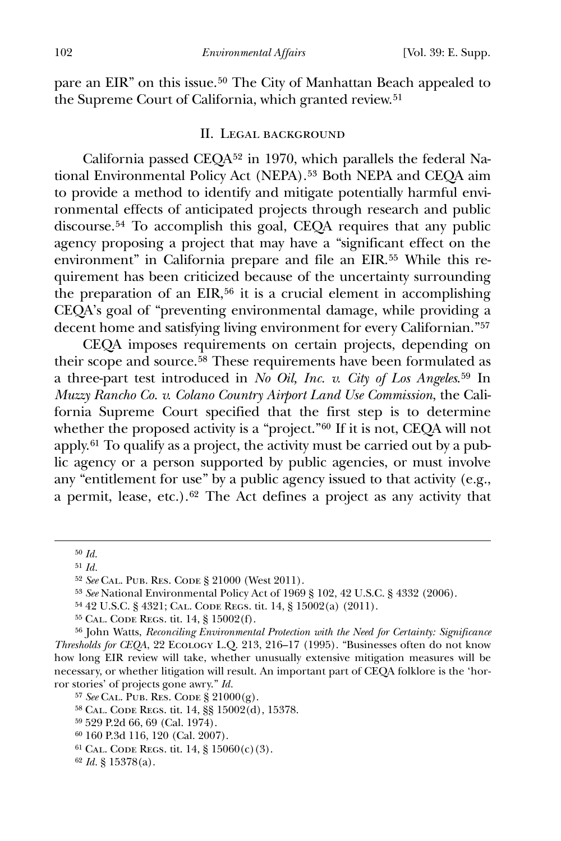pare an EIR" on this issue.<sup>[50](#page-6-0)</sup> The City of Manhattan Beach appealed to the Supreme Court of California, which granted review.<sup>[51](#page-6-1)</sup>

#### II. Legal background

 California passed CEQA[52](#page-6-2) in 1970, which parallels the federal Na-tional Environmental Policy Act (NEPA).<sup>[53](#page-6-3)</sup> Both NEPA and CEOA aim to provide a method to identify and mitigate potentially harmful environmental effects of anticipated projects through research and public discourse.<sup>[54](#page-6-4)</sup> To accomplish this goal, CEQA requires that any public agency proposing a project that may have a "significant effect on the environment" in California prepare and file an EIR.[55](#page-6-5) While this requirement has been criticized because of the uncertainty surrounding the preparation of an EIR,<sup>[56](#page-6-6)</sup> it is a crucial element in accomplishing CEQA's goal of "preventing environmental damage, while providing a decent home and satisfying living environment for every Californian."[57](#page-6-7)

 CEQA imposes requirements on certain projects, depending on their scope and source.[58](#page-6-8) These requirements have been formulated as a three-part test introduced in *No Oil, Inc. v. City of Los Angeles*.[59](#page-6-9) In *Muzzy Rancho Co. v. Colano Country Airport Land Use Commission*, the California Supreme Court specified that the first step is to determine whether the proposed activity is a "project."<sup>[60](#page-6-10)</sup> If it is not, CEQA will not apply.[61](#page-6-11) To qualify as a project, the activity must be carried out by a public agency or a person supported by public agencies, or must involve any "entitlement for use" by a public agency issued to that activity (e.g., a permit, lease, etc.).[62](#page-6-12) The Act defines a project as any activity that

<span id="page-6-0"></span><sup>50</sup> *Id.*

<span id="page-6-1"></span><sup>51</sup> *Id.*

<span id="page-6-2"></span><sup>52</sup> *See* Cal. Pub. Res. Code § 21000 (West 2011).

<sup>53</sup> *See* National Environmental Policy Act of 1969 § 102, 42 U.S.C. § 4332 (2006).

<sup>54</sup> 42 U.S.C. § 4321; Cal. Code Regs. tit. 14, § 15002(a) (2011).

<sup>55</sup> Cal. Code Regs. tit. 14, § 15002(f).

<span id="page-6-6"></span><span id="page-6-5"></span><span id="page-6-4"></span><span id="page-6-3"></span><sup>56</sup> John Watts, *Reconciling Environmental Protection with the Need for Certainty: Significance Thresholds for CEQA*, 22 Ecology L.Q. 213, 216–17 (1995). "Businesses often do not know how long EIR review will take, whether unusually extensive mitigation measures will be necessary, or whether litigation will result. An important part of CEQA folklore is the 'horror stories' of projects gone awry." *Id.*

<span id="page-6-8"></span><span id="page-6-7"></span><sup>57</sup> *See* Cal. Pub. Res. Code § 21000(g).

<sup>58</sup> Cal. Code Regs. tit. 14, §§ 15002(d), 15378.

<span id="page-6-9"></span><sup>59</sup> 529 P.2d 66, 69 (Cal. 1974).

<span id="page-6-10"></span><sup>60</sup> 160 P.3d 116, 120 (Cal. 2007).

<span id="page-6-11"></span> $61$  CAL. CODE REGS. tit. 14, § 15060(c)(3).

<span id="page-6-12"></span><sup>62</sup> *Id.* § 15378(a).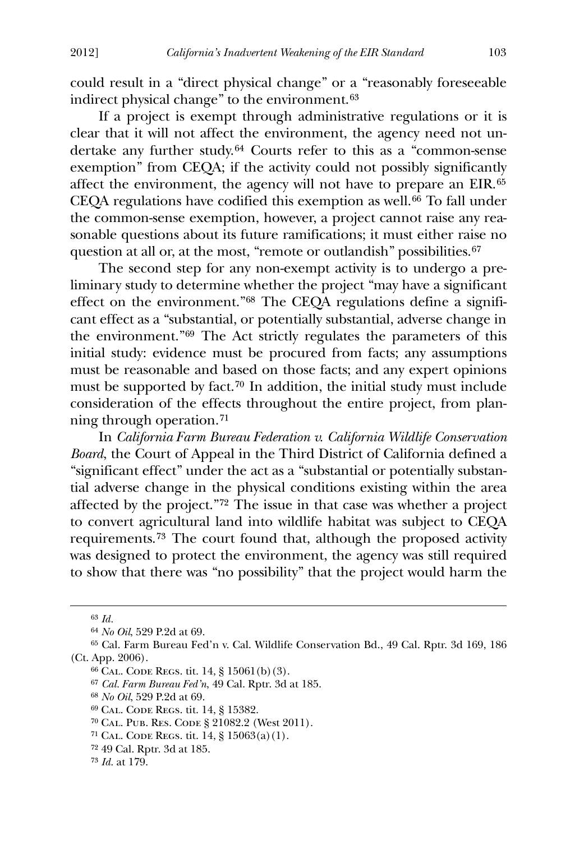could result in a "direct physical change" or a "reasonably foreseeable indirect physical change" to the environment.[63](#page-7-0)

 If a project is exempt through administrative regulations or it is clear that it will not affect the environment, the agency need not undertake any further study.[64](#page-7-1) Courts refer to this as a "common-sense exemption" from CEQA; if the activity could not possibly significantly affect the environment, the agency will not have to prepare an EIR.[65](#page-7-2) CEQA regulations have codified this exemption as well.<sup>[66](#page-7-3)</sup> To fall under the common-sense exemption, however, a project cannot raise any reasonable questions about its future ramifications; it must either raise no question at all or, at the most, "remote or outlandish" possibilities.<sup>[67](#page-7-4)</sup>

 The second step for any non-exempt activity is to undergo a preliminary study to determine whether the project "may have a significant effect on the environment."[68](#page-7-5) The CEQA regulations define a significant effect as a "substantial, or potentially substantial, adverse change in the environment."[69](#page-7-6) The Act strictly regulates the parameters of this initial study: evidence must be procured from facts; any assumptions must be reasonable and based on those facts; and any expert opinions must be supported by fact.[70](#page-7-7) In addition, the initial study must include consideration of the effects throughout the entire project, from planning through operation.[71](#page-7-8)

 In *California Farm Bureau Federation v. California Wildlife Conservation Board*, the Court of Appeal in the Third District of California defined a "significant effect" under the act as a "substantial or potentially substantial adverse change in the physical conditions existing within the area affected by the project."[72](#page-7-9) The issue in that case was whether a project to convert agricultural land into wildlife habitat was subject to CEQA requirements.[73](#page-7-10) The court found that, although the proposed activity was designed to protect the environment, the agency was still required to show that there was "no possibility" that the project would harm the

<span id="page-7-0"></span><u>.</u>

<sup>63</sup> *Id.*

<sup>64</sup> *No Oil*, 529 P.2d at 69.

<span id="page-7-5"></span><span id="page-7-4"></span><span id="page-7-3"></span><span id="page-7-2"></span><span id="page-7-1"></span><sup>65</sup> Cal. Farm Bureau Fed'n v. Cal. Wildlife Conservation Bd., 49 Cal. Rptr. 3d 169, 186 (Ct. App. 2006).

<sup>66</sup> Cal. Code Regs. tit. 14, § 15061(b)(3).

<sup>67</sup> *Cal. Farm Bureau Fed'n*, 49 Cal. Rptr. 3d at 185.

<sup>68</sup> *No Oil*, 529 P.2d at 69.

<span id="page-7-6"></span><sup>69</sup> Cal. Code Regs. tit. 14, § 15382.

<span id="page-7-7"></span><sup>70</sup> Cal. Pub. Res. Code § 21082.2 (West 2011).

<span id="page-7-9"></span><span id="page-7-8"></span><sup>71</sup> Cal. Code Regs. tit. 14, § 15063(a)(1).

<sup>72</sup> 49 Cal. Rptr. 3d at 185.

<span id="page-7-10"></span><sup>73</sup> *Id.* at 179.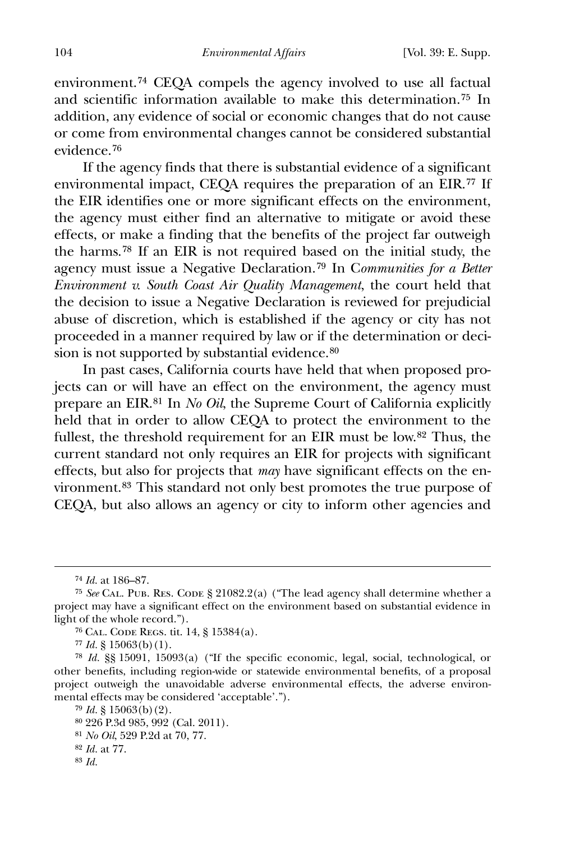environment.[74](#page-8-0) CEQA compels the agency involved to use all factual and scientific information available to make this determination.[75](#page-8-1) In addition, any evidence of social or economic changes that do not cause or come from environmental changes cannot be considered substantial evidence.[76](#page-8-2)

 If the agency finds that there is substantial evidence of a significant environmental impact, CEQA requires the preparation of an EIR.[77](#page-8-3) If the EIR identifies one or more significant effects on the environment, the agency must either find an alternative to mitigate or avoid these effects, or make a finding that the benefits of the project far outweigh the harms.[78](#page-8-4) If an EIR is not required based on the initial study, the agency must issue a Negative Declaration.[79](#page-8-5) In C*ommunities for a Better Environment v. South Coast Air Quality Management*, the court held that the decision to issue a Negative Declaration is reviewed for prejudicial abuse of discretion, which is established if the agency or city has not proceeded in a manner required by law or if the determination or deci-sion is not supported by substantial evidence.<sup>[80](#page-8-6)</sup>

 In past cases, California courts have held that when proposed projects can or will have an effect on the environment, the agency must prepare an EIR.[81](#page-8-7) In *No Oil*, the Supreme Court of California explicitly held that in order to allow CEQA to protect the environment to the fullest, the threshold requirement for an EIR must be low.[82](#page-8-8) Thus, the current standard not only requires an EIR for projects with significant effects, but also for projects that *may* have significant effects on the environment.[83](#page-8-9) This standard not only best promotes the true purpose of CEQA, but also allows an agency or city to inform other agencies and

<sup>74</sup> *Id.* at 186–87.

<span id="page-8-1"></span><span id="page-8-0"></span><sup>75</sup> *See* Cal. Pub. Res. Code § 21082.2(a) ("The lead agency shall determine whether a project may have a significant effect on the environment based on substantial evidence in light of the whole record.").

<sup>76</sup> Cal. Code Regs. tit. 14, § 15384(a).

 $77$  *Id.* § 15063(b)(1).

<span id="page-8-5"></span><span id="page-8-4"></span><span id="page-8-3"></span><span id="page-8-2"></span><sup>78</sup> *Id.* §§ 15091, 15093(a) ("If the specific economic, legal, social, technological, or other benefits, including region-wide or statewide environmental benefits, of a proposal project outweigh the unavoidable adverse environmental effects, the adverse environmental effects may be considered 'acceptable'.").

<sup>79</sup> *Id.* § 15063(b)(2).

<span id="page-8-6"></span><sup>80</sup> 226 P.3d 985, 992 (Cal. 2011).

<span id="page-8-7"></span><sup>81</sup> *No Oil*, 529 P.2d at 70, 77.

<span id="page-8-8"></span><sup>82</sup> *Id.* at 77.

<span id="page-8-9"></span><sup>83</sup> *Id.*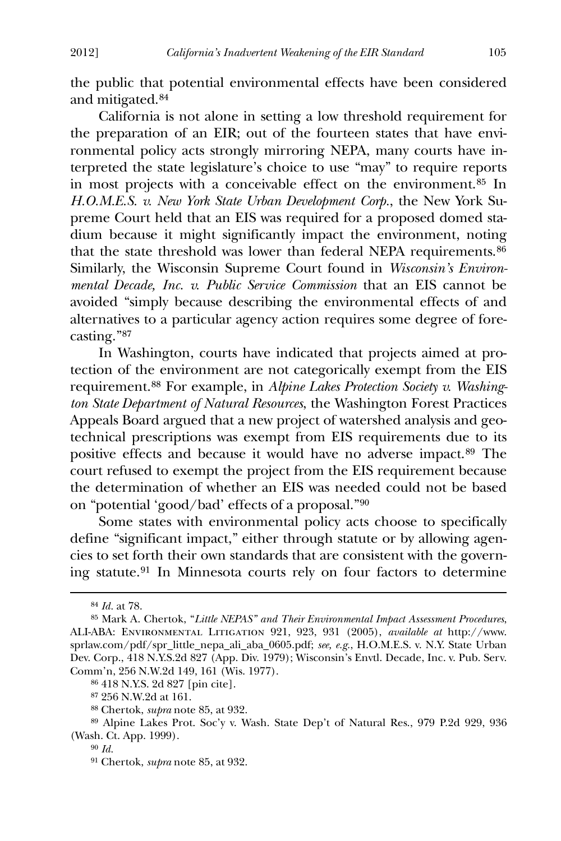the public that potential environmental effects have been considered and mitigated.[84](#page-9-0)

 California is not alone in setting a low threshold requirement for the preparation of an EIR; out of the fourteen states that have environmental policy acts strongly mirroring NEPA, many courts have interpreted the state legislature's choice to use "may" to require reports in most projects with a conceivable effect on the environment.[85](#page-9-1) In *H.O.M.E.S. v. New York State Urban Development Corp.*, the New York Supreme Court held that an EIS was required for a proposed domed stadium because it might significantly impact the environment, noting that the state threshold was lower than federal NEPA requirements.<sup>[86](#page-9-2)</sup> Similarly, the Wisconsin Supreme Court found in *Wisconsin's Environmental Decade, Inc. v. Public Service Commission* that an EIS cannot be avoided "simply because describing the environmental effects of and alternatives to a particular agency action requires some degree of forecasting."[87](#page-9-3)

 In Washington, courts have indicated that projects aimed at protection of the environment are not categorically exempt from the EIS requirement.[88](#page-9-4) For example, in *Alpine Lakes Protection Society v. Washington State Department of Natural Resources*, the Washington Forest Practices Appeals Board argued that a new project of watershed analysis and geotechnical prescriptions was exempt from EIS requirements due to its positive effects and because it would have no adverse impact.[89](#page-9-5) The court refused to exempt the project from the EIS requirement because the determination of whether an EIS was needed could not be based on "potential 'good/bad' effects of a proposal."[90](#page-9-6)

 Some states with environmental policy acts choose to specifically define "significant impact," either through statute or by allowing agencies to set forth their own standards that are consistent with the governing statute.[91](#page-9-7) In Minnesota courts rely on four factors to determine

-

86 418 N.Y.S. 2d 827 [pin cite].

87 256 N.W.2d at 161.

88 Chertok, *supra* note 85, at 932.

<span id="page-9-7"></span><span id="page-9-6"></span><span id="page-9-5"></span><span id="page-9-4"></span><span id="page-9-3"></span><span id="page-9-2"></span>89 Alpine Lakes Prot. Soc'y v. Wash. State Dep't of Natural Res., 979 P.2d 929, 936 (Wash. Ct. App. 1999).

91 Chertok, *supra* note 85, at 932.

<sup>84</sup> *Id.* at 78.

<span id="page-9-1"></span><span id="page-9-0"></span><sup>85</sup> Mark A. Chertok, "*Little NEPAS" and Their Environmental Impact Assessment Procedures*, ALI-ABA: Environmental Litigation 921, 923, 931 (2005), *available at* http://www. sprlaw.com/pdf/spr\_little\_nepa\_ali\_aba\_0605.pdf; *see, e.g.*, H.O.M.E.S. v. N.Y. State Urban Dev. Corp., 418 N.Y.S.2d 827 (App. Div. 1979); Wisconsin's Envtl. Decade, Inc. v. Pub. Serv. Comm'n, 256 N.W.2d 149, 161 (Wis. 1977).

<sup>90</sup> *Id.*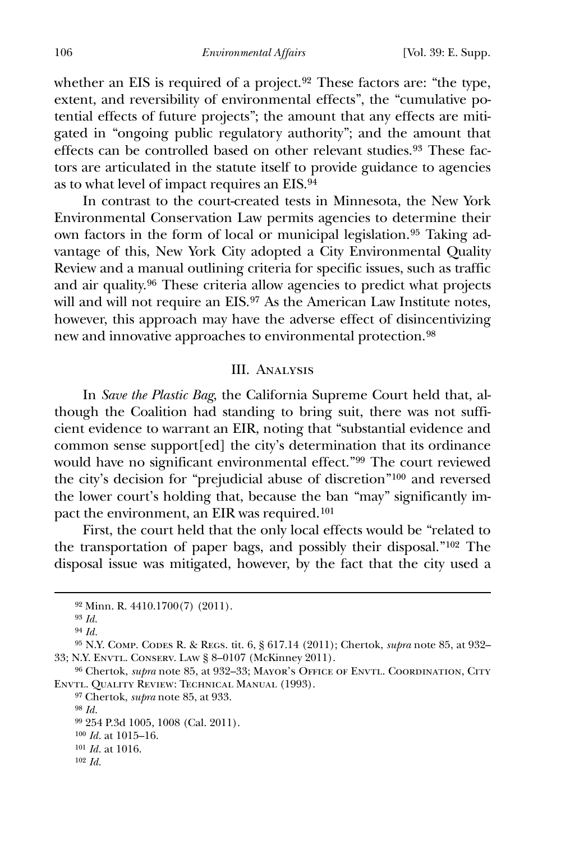whether an EIS is required of a project.<sup>[92](#page-10-0)</sup> These factors are: "the type, extent, and reversibility of environmental effects", the "cumulative potential effects of future projects"; the amount that any effects are mitigated in "ongoing public regulatory authority"; and the amount that effects can be controlled based on other relevant studies.<sup>[93](#page-10-1)</sup> These factors are articulated in the statute itself to provide guidance to agencies as to what level of impact requires an EIS.[94](#page-10-2)

 In contrast to the court-created tests in Minnesota, the New York Environmental Conservation Law permits agencies to determine their own factors in the form of local or municipal legislation.<sup>[95](#page-10-3)</sup> Taking advantage of this, New York City adopted a City Environmental Quality Review and a manual outlining criteria for specific issues, such as traffic and air quality.[96](#page-10-4) These criteria allow agencies to predict what projects will and will not require an EIS.<sup>[97](#page-10-5)</sup> As the American Law Institute notes, however, this approach may have the adverse effect of disincentivizing new and innovative approaches to environmental protection.[98](#page-10-6)

#### III. Analysis

 In *Save the Plastic Bag*, the California Supreme Court held that, although the Coalition had standing to bring suit, there was not sufficient evidence to warrant an EIR, noting that "substantial evidence and common sense support[ed] the city's determination that its ordinance would have no significant environmental effect."[99](#page-10-7) The court reviewed the city's decision for "prejudicial abuse of discretion"[100](#page-10-8) and reversed the lower court's holding that, because the ban "may" significantly impact the environment, an EIR was required.[101](#page-10-9)

 First, the court held that the only local effects would be "related to the transportation of paper bags, and possibly their disposal."[102](#page-10-10) The disposal issue was mitigated, however, by the fact that the city used a

<span id="page-10-0"></span> $\overline{a}$ 

<span id="page-10-7"></span>97 Chertok, *supra* note 85, at 933.

<sup>92</sup> Minn. R. 4410.1700(7) (2011).

<sup>93</sup> *Id.*

<sup>94</sup> *Id.*

<span id="page-10-3"></span><span id="page-10-2"></span><span id="page-10-1"></span><sup>95</sup> N.Y. Comp. Codes R. & Regs. tit. 6, § 617.14 (2011); Chertok, *supra* note 85, at 932– 33; N.Y. Envtl. Conserv. Law § 8–0107 (McKinney 2011).

<span id="page-10-6"></span><span id="page-10-5"></span><span id="page-10-4"></span><sup>&</sup>lt;sup>96</sup> Chertok, *supra* note 85, at 932-33; MAYOR'S OFFICE OF ENVTL. COORDINATION, CITY Envtl. Quality Review: Technical Manual (1993).

<sup>98</sup> *Id.*

<sup>99</sup> 254 P.3d 1005, 1008 (Cal. 2011).

<span id="page-10-9"></span><span id="page-10-8"></span><sup>100</sup> *Id.* at 1015–16.

<span id="page-10-10"></span><sup>101</sup> *Id.* at 1016. 102 *Id.*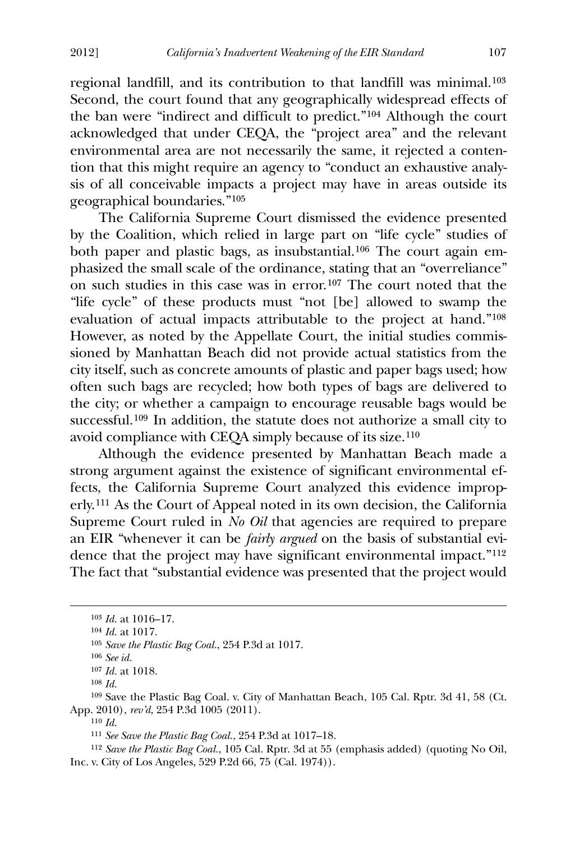regional landfill, and its contribution to that landfill was minimal.[103](#page-11-0) Second, the court found that any geographically widespread effects of the ban were "indirect and difficult to predict."[104](#page-11-1) Although the court acknowledged that under CEQA, the "project area" and the relevant environmental area are not necessarily the same, it rejected a contention that this might require an agency to "conduct an exhaustive analysis of all conceivable impacts a project may have in areas outside its geographical boundaries."[105](#page-11-2)

 The California Supreme Court dismissed the evidence presented by the Coalition, which relied in large part on "life cycle" studies of both paper and plastic bags, as insubstantial.[106](#page-11-3) The court again emphasized the small scale of the ordinance, stating that an "overreliance" on such studies in this case was in error.[107](#page-11-4) The court noted that the "life cycle" of these products must "not [be] allowed to swamp the evaluation of actual impacts attributable to the project at hand."[108](#page-11-5) However, as noted by the Appellate Court, the initial studies commissioned by Manhattan Beach did not provide actual statistics from the city itself, such as concrete amounts of plastic and paper bags used; how often such bags are recycled; how both types of bags are delivered to the city; or whether a campaign to encourage reusable bags would be successful.[109](#page-11-6) In addition, the statute does not authorize a small city to avoid compliance with CEQA simply because of its size.110

Although the evidence presented by Manhattan Beach made a strong argument against the existence of significant environmental effects, the California Supreme Court analyzed this evidence improperly.[111](#page-11-7) As the Court of Appeal noted in its own decision, the California Supreme Court ruled in *No Oil* that agencies are required to prepare an EIR "whenever it can be *fairly argued* on the basis of substantial evidence that the project may have significant environmental impact."[112](#page-11-8) The fact that "substantial evidence was presented that the project would

<span id="page-11-2"></span><span id="page-11-1"></span><span id="page-11-0"></span><u>.</u>

<span id="page-11-8"></span><span id="page-11-7"></span>112 *Save the Plastic Bag Coal.*, 105 Cal. Rptr. 3d at 55 (emphasis added) (quoting No Oil, Inc. v. City of Los Angeles, 529 P.2d 66, 75 (Cal. 1974)).

<sup>103</sup> *Id.* at 1016–17.

<sup>104</sup> *Id.* at 1017.

<sup>105</sup> *Save the Plastic Bag Coal.*, 254 P.3d at 1017.

<sup>106</sup> *See id.*

<sup>107</sup> *Id.* at 1018.

<sup>108</sup> *Id.*

<span id="page-11-6"></span><span id="page-11-5"></span><span id="page-11-4"></span><span id="page-11-3"></span><sup>109</sup> Save the Plastic Bag Coal. v. City of Manhattan Beach, 105 Cal. Rptr. 3d 41, 58 (Ct. App. 2010), *rev'd*, 254 P.3d 1005 (2011).

<sup>110</sup> *Id.*

<sup>111</sup> *See Save the Plastic Bag Coal.*, 254 P.3d at 1017–18.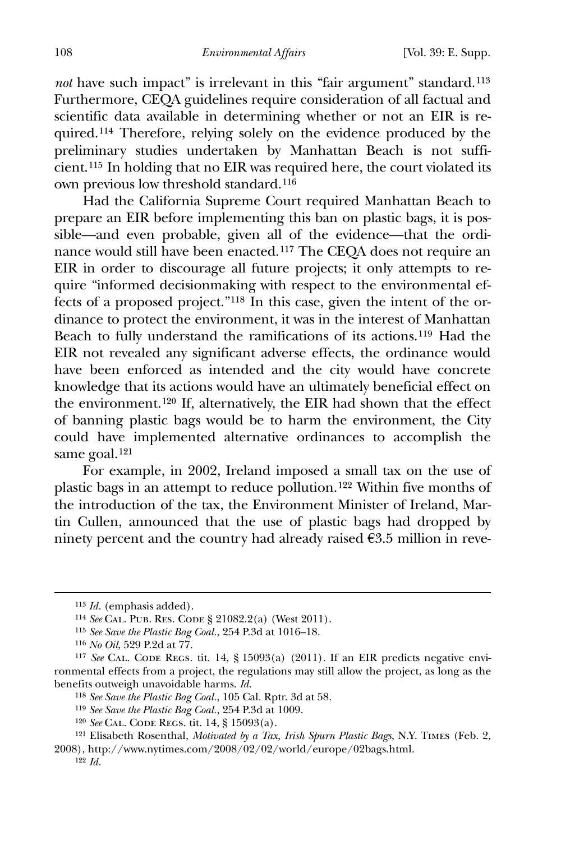*not* have such impact" is irrelevant in this "fair argument" standard.<sup>[113](#page-12-0)</sup> Furthermore, CEQA guidelines require consideration of all factual and scientific data available in determining whether or not an EIR is required.[114](#page-12-1) Therefore, relying solely on the evidence produced by the preliminary studies undertaken by Manhattan Beach is not sufficient.[115](#page-12-2) In holding that no EIR was required here, the court violated its own previous low threshold standard.116

 Had the California Supreme Court required Manhattan Beach to prepare an EIR before implementing this ban on plastic bags, it is possible—and even probable, given all of the evidence—that the ordinance would still have been enacted.[117](#page-12-3) The CEQA does not require an EIR in order to discourage all future projects; it only attempts to require "informed decisionmaking with respect to the environmental effects of a proposed project."[118](#page-12-4) In this case, given the intent of the ordinance to protect the environment, it was in the interest of Manhattan Beach to fully understand the ramifications of its actions.[119](#page-12-5) Had the EIR not revealed any significant adverse effects, the ordinance would have been enforced as intended and the city would have concrete knowledge that its actions would have an ultimately beneficial effect on the environment.[120](#page-12-6) If, alternatively, the EIR had shown that the effect of banning plastic bags would be to harm the environment, the City could have implemented alternative ordinances to accomplish the same goal.[121](#page-12-7)

 For example, in 2002, Ireland imposed a small tax on the use of plastic bags in an attempt to reduce pollution.[122](#page-12-8) Within five months of the introduction of the tax, the Environment Minister of Ireland, Martin Cullen, announced that the use of plastic bags had dropped by ninety percent and the country had already raised  $€3.5$  million in reve-

<sup>113</sup> *Id.* (emphasis added).

<sup>114</sup> *See* Cal. Pub. Res. Code § 21082.2(a) (West 2011).

<sup>115</sup> *See Save the Plastic Bag Coal.*, 254 P.3d at 1016–18.

<sup>116</sup> *No Oil*, 529 P.2d at 77.

<span id="page-12-4"></span><span id="page-12-3"></span><span id="page-12-2"></span><sup>&</sup>lt;sup>117</sup> *See* CAL. CODE REGS. tit. 14, § 15093(a) (2011). If an EIR predicts negative environmental effects from a project, the regulations may still allow the project, as long as the benefits outweigh unavoidable harms. *Id.*

<sup>118</sup> *See Save the Plastic Bag Coal.*, 105 Cal. Rptr. 3d at 58.

<sup>119</sup> *See Save the Plastic Bag Coal.*, 254 P.3d at 1009.

<sup>120</sup> *See* Cal. Code Regs. tit. 14, § 15093(a).

<span id="page-12-8"></span><span id="page-12-7"></span><span id="page-12-6"></span><span id="page-12-5"></span><sup>121</sup> Elisabeth Rosenthal, *Motivated by a Tax, Irish Spurn Plastic Bags*, N.Y. Times (Feb. 2, 2008), http://www.nytimes.com/2008/02/02/world/europe/02bags.html. 122 *Id.*

<span id="page-12-1"></span><span id="page-12-0"></span> $\overline{a}$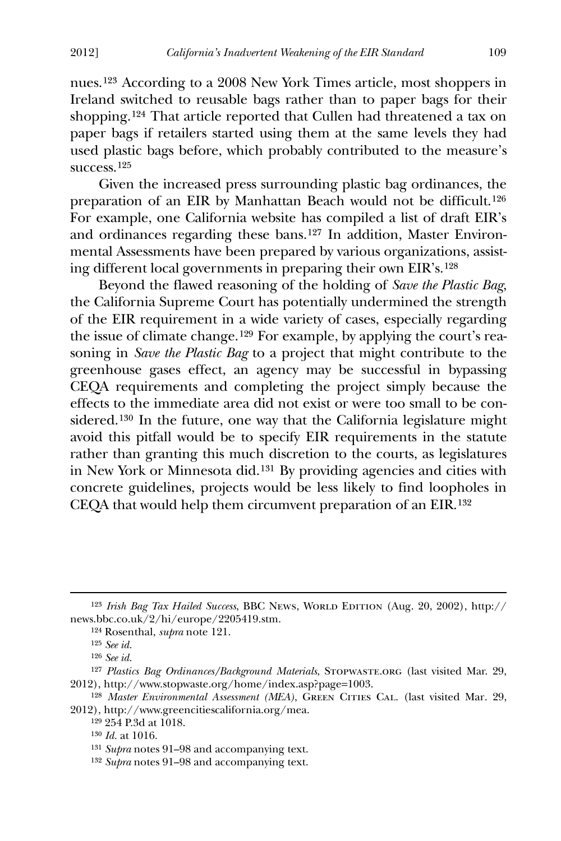nues.[123](#page-13-0) According to a 2008 New York Times article, most shoppers in Ireland switched to reusable bags rather than to paper bags for their shopping.[124](#page-13-1) That article reported that Cullen had threatened a tax on paper bags if retailers started using them at the same levels they had used plastic bags before, which probably contributed to the measure's success.[125](#page-13-2)

 Given the increased press surrounding plastic bag ordinances, the preparation of an EIR by Manhattan Beach would not be difficult.[126](#page-13-3) For example, one California website has compiled a list of draft EIR's and ordinances regarding these bans.[127](#page-13-4) In addition, Master Environmental Assessments have been prepared by various organizations, assisting different local governments in preparing their own EIR's.[128](#page-13-5)

 Beyond the flawed reasoning of the holding of *Save the Plastic Bag*, the California Supreme Court has potentially undermined the strength of the EIR requirement in a wide variety of cases, especially regarding the issue of climate change.[129](#page-13-6) For example, by applying the court's reasoning in *Save the Plastic Bag* to a project that might contribute to the greenhouse gases effect, an agency may be successful in bypassing CEQA requirements and completing the project simply because the effects to the immediate area did not exist or were too small to be considered.[130](#page-13-7) In the future, one way that the California legislature might avoid this pitfall would be to specify EIR requirements in the statute rather than granting this much discretion to the courts, as legislatures in New York or Minnesota did.[131](#page-13-8) By providing agencies and cities with concrete guidelines, projects would be less likely to find loopholes in CEQA that would help them circumvent preparation of an EIR.[132](#page-13-9)

-

<span id="page-13-1"></span><span id="page-13-0"></span><sup>&</sup>lt;sup>123</sup> *Irish Bag Tax Hailed Success*, BBC News, WORLD EDITION (Aug. 20, 2002), http:// news.bbc.co.uk/2/hi/europe/2205419.stm.

<sup>124</sup> Rosenthal, *supra* note 121.

<sup>125</sup> *See id.*

<sup>126</sup> *See id.*

<span id="page-13-4"></span><span id="page-13-3"></span><span id="page-13-2"></span><sup>&</sup>lt;sup>127</sup> Plastics Bag Ordinances/Background Materials, STOPWASTE.ORG (last visited Mar. 29, 2012), http://www.stopwaste.org/home/index.asp?page=1003.

<span id="page-13-8"></span><span id="page-13-7"></span><span id="page-13-6"></span><span id="page-13-5"></span><sup>&</sup>lt;sup>128</sup> *Master Environmental Assessment (MEA)*, GREEN CITIES CAL. (last visited Mar. 29, 2012), http://www.greencitiescalifornia.org/mea.

<sup>129</sup> 254 P.3d at 1018.

<sup>130</sup> *Id.* at 1016.

<sup>131</sup> *Supra* notes 91–98 and accompanying text.

<span id="page-13-9"></span><sup>132</sup> *Supra* notes 91–98 and accompanying text.